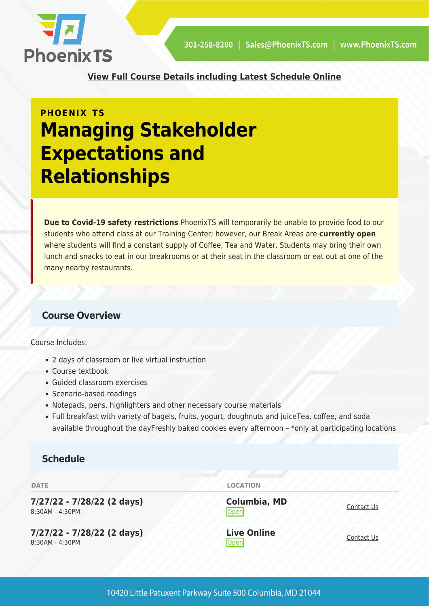

**[View Full Course Details including Latest Schedule Online](https://phoenixts.com/training-courses/managing-stakeholder-expectations-and-relationships/)**

# **PHOENIX TS Managing Stakeholder Expectations and Relationships**

**Due to Covid-19 safety restrictions** PhoenixTS will temporarily be unable to provide food to our students who attend class at our Training Center; however, our Break Areas are **currently open** where students will find a constant supply of Coffee, Tea and Water. Students may bring their own lunch and snacks to eat in our breakrooms or at their seat in the classroom or eat out at one of the many nearby restaurants.

# **Course Overview**

Course Includes:

- 2 days of classroom or live virtual instruction
- Course textbook
- Guided classroom exercises
- Scenario-based readings
- Notepads, pens, highlighters and other necessary course materials
- Full breakfast with variety of bagels, fruits, yogurt, doughnuts and juiceTea, coffee, and soda available throughout the dayFreshly baked cookies every afternoon – \*only at participating locations

## **Schedule**

| <b>DATE</b>                                   | <b>LOCATION</b>                   |            |
|-----------------------------------------------|-----------------------------------|------------|
| 7/27/22 - 7/28/22 (2 days)<br>8:30AM - 4:30PM | <b>Columbia, MD</b><br>Open       | Contact Us |
| 7/27/22 - 7/28/22 (2 days)<br>8:30AM - 4:30PM | <b>Live Online</b><br><b>Open</b> | Contact Us |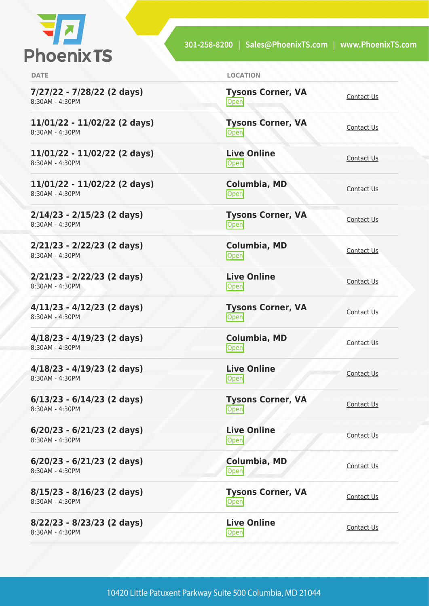

301-258-8200 | Sales@PhoenixTS.com | www.PhoenixTS.com

| × |  |  |
|---|--|--|
|   |  |  |

**7/27/22 - 7/28/22 (2 days)** 8:30AM - 4:30PM

**11/01/22 - 11/02/22 (2 days)** 8:30AM - 4:30PM

**11/01/22 - 11/02/22 (2 days)** 8:30AM - 4:30PM

**11/01/22 - 11/02/22 (2 days)** 8:30AM - 4:30PM

**2/14/23 - 2/15/23 (2 days)** 8:30AM - 4:30PM

**2/21/23 - 2/22/23 (2 days)** 8:30AM - 4:30PM

**2/21/23 - 2/22/23 (2 days)** 8:30AM - 4:30PM

**4/11/23 - 4/12/23 (2 days)** 8:30AM - 4:30PM

**4/18/23 - 4/19/23 (2 days)** 8:30AM - 4:30PM

**4/18/23 - 4/19/23 (2 days)** 8:30AM - 4:30PM

**6/13/23 - 6/14/23 (2 days)** 8:30AM - 4:30PM

**6/20/23 - 6/21/23 (2 days)** 8:30AM - 4:30PM

**6/20/23 - 6/21/23 (2 days)** 8:30AM - 4:30PM

**8/15/23 - 8/16/23 (2 days)** 8:30AM - 4:30PM

**8/22/23 - 8/23/23 (2 days)** 8:30AM - 4:30PM

| <b>DATE</b> | <b>LOCATION</b> |
|-------------|-----------------|
|             |                 |

**Tysons Corner, VA** <u>Open</u>

**Tysons Corner, VA** <u>Open</u> [Contact Us](https://phoenixts.com/schedule/more-info/?class=26079)

**Live Online** <u>[Contact Us](https://phoenixts.com/schedule/more-info/?class=26080)</u>

**Columbia, MD** [Contact Us](https://phoenixts.com/schedule/more-info/?class=26081)<br>Open

**Tysons Corner, VA** <u>Open</u> [Contact Us](https://phoenixts.com/schedule/more-info/?class=27175)

**Columbia, MD [Contact Us](https://phoenixts.com/schedule/more-info/?class=27189)**<br>
Open

**Live Online** <u>Open</u> [Contact Us](https://phoenixts.com/schedule/more-info/?class=27191) Contact Us

**Tysons Corner, VA Open** [Contact Us](https://phoenixts.com/schedule/more-info/?class=27176)

**Columbia, MD** [Contact Us](https://phoenixts.com/schedule/more-info/?class=27190)<br>
Open

**Live Online** <u>Open</u> [Contact Us](https://phoenixts.com/schedule/more-info/?class=27192)

**Tysons Corner, VA Open** [Contact Us](https://phoenixts.com/schedule/more-info/?class=27177) Contact Us

**Live Online Open** [Contact Us](https://phoenixts.com/schedule/more-info/?class=27184)

**Columbia, MD** [Contact Us](https://phoenixts.com/schedule/more-info/?class=27185)

**Tysons Corner, VA Open** [Contact Us](https://phoenixts.com/schedule/more-info/?class=27178)

**Live Online** <u>Open</u> [Contact Us](https://phoenixts.com/schedule/more-info/?class=27183)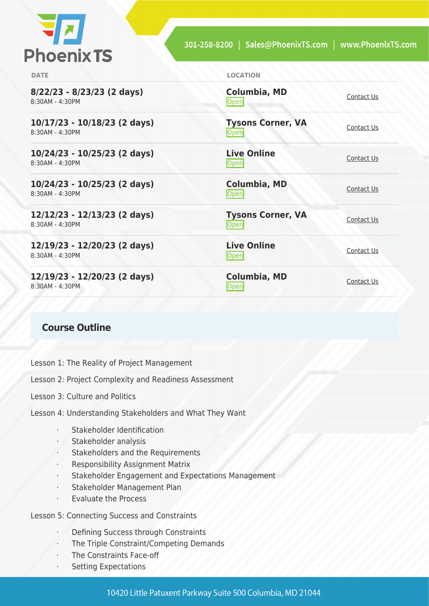

| <b>LOCATION</b>                    |                   |
|------------------------------------|-------------------|
| <b>Columbia, MD</b><br><b>Open</b> | Contact Us        |
| <b>Tysons Corner, VA</b><br>Open   | Contact Us        |
| <b>Live Online</b><br>Open         | Contact Us        |
| Columbia, MD<br>Open               | Contact Us        |
| <b>Tysons Corner, VA</b><br>Open   | Contact Us        |
| <b>Live Online</b><br>Open         | <b>Contact Us</b> |
| Columbia, MD<br><b>Open</b>        | Contact Us        |
|                                    |                   |

### **Course Outline**

Lesson 1: The Reality of Project Management

Lesson 2: Project Complexity and Readiness Assessment

Lesson 3: Culture and Politics

Lesson 4: Understanding Stakeholders and What They Want

- Stakeholder Identification
- Stakeholder analysis
- Stakeholders and the Requirements
- Responsibility Assignment Matrix
- Stakeholder Engagement and Expectations Management
- Stakeholder Management Plan
- · Evaluate the Process

Lesson 5: Connecting Success and Constraints

- Defining Success through Constraints
- The Triple Constraint/Competing Demands
- The Constraints Face-off
- Setting Expectations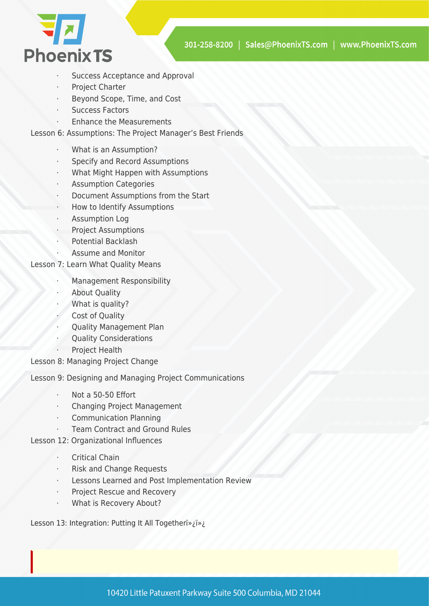

- Success Acceptance and Approval
- Project Charter
- Beyond Scope, Time, and Cost
- Success Factors
- Enhance the Measurements

Lesson 6: Assumptions: The Project Manager's Best Friends

- What is an Assumption?
- Specify and Record Assumptions
- What Might Happen with Assumptions
- Assumption Categories
- Document Assumptions from the Start
- How to Identify Assumptions
- Assumption Log
- Project Assumptions
- Potential Backlash
	- · Assume and Monitor

#### Lesson 7: Learn What Quality Means

- · Management Responsibility
- **About Quality**
- What is quality?
- Cost of Quality
- · Quality Management Plan
- **Ouality Considerations**
- Project Health
- Lesson 8: Managing Project Change

Lesson 9: Designing and Managing Project Communications

- Not a 50-50 Effort
- Changing Project Management
- Communication Planning
	- Team Contract and Ground Rules
- Lesson 12: Organizational Influences
	- **Critical Chain**
	- **Risk and Change Requests**
	- Lessons Learned and Post Implementation Review
	- Project Rescue and Recovery
	- What is Recovery About?

Lesson 13: Integration: Putting It All Togetheri»¿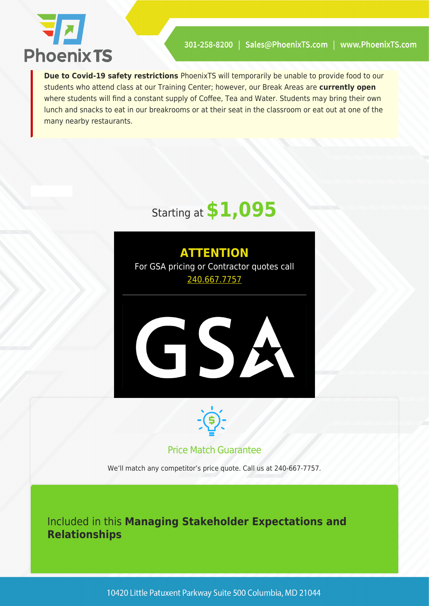

**Due to Covid-19 safety restrictions** PhoenixTS will temporarily be unable to provide food to our students who attend class at our Training Center; however, our Break Areas are **currently open** where students will find a constant supply of Coffee, Tea and Water. Students may bring their own lunch and snacks to eat in our breakrooms or at their seat in the classroom or eat out at one of the many nearby restaurants.



**ATTENTION** For GSA pricing or Contractor quotes call [240.667.7757](#page--1-0)





# Price Match Guarantee

We'll match any competitor's price quote. Call us at 240-667-7757.

Included in this **Managing Stakeholder Expectations and Relationships**

10420 Little Patuxent Parkway Suite 500 Columbia, MD 21044